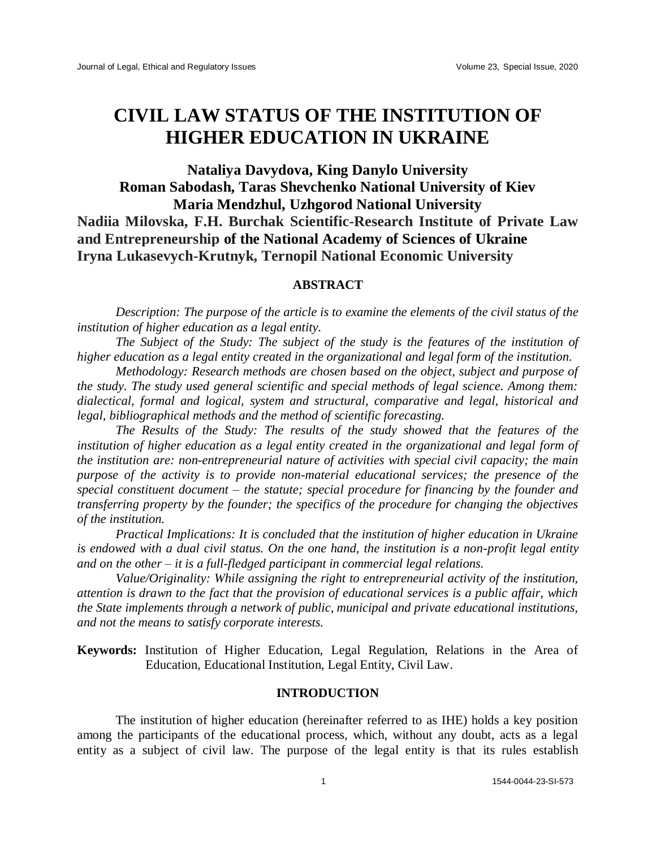# **CIVIL LAW STATUS OF THE INSTITUTION OF HIGHER EDUCATION IN UKRAINE**

# **Nataliya Davydova, King Danylo University Roman Sabodash, Taras Shevchenko National University of Kiev Maria Mendzhul, Uzhgorod National University Nadiia Milovska, F.H. Burchak Scientific-Research Institute of Private Law and Entrepreneurship of the National Academy of Sciences of Ukraine Iryna Lukasevych-Krutnyk, Ternopil National Economic University**

## **ABSTRACT**

*Description: The purpose of the article is to examine the elements of the civil status of the institution of higher education as a legal entity.* 

*The Subject of the Study: The subject of the study is the features of the institution of higher education as a legal entity created in the organizational and legal form of the institution.* 

*Methodology: Research methods are chosen based on the object, subject and purpose of the study. The study used general scientific and special methods of legal science. Among them: dialectical, formal and logical, system and structural, comparative and legal, historical and legal, [bibliographical](https://context.reverso.net/%D0%BF%D0%B5%D1%80%D0%B5%D0%B2%D0%BE%D0%B4/%D0%B0%D0%BD%D0%B3%D0%BB%D0%B8%D0%B9%D1%81%D0%BA%D0%B8%D0%B9-%D1%80%D1%83%D1%81%D1%81%D0%BA%D0%B8%D0%B9/bibliographical) methods and the method of scientific forecasting.* 

*The Results of the Study: The results of the study showed that the features of the*  institution of higher education as a legal entity created in the organizational and legal form of *the institution are: non-entrepreneurial nature of activities with special civil capacity; the main purpose of the activity is to provide non-material educational services; the presence of the special constituent document – the statute; special procedure for financing by the founder and transferring property by the founder; the specifics of the procedure for changing the objectives of the institution.* 

*Practical Implications: It is concluded that the institution of higher education in Ukraine is endowed with a dual civil status. On the one hand, the institution is a non-profit legal entity and on the other – it is a full-fledged participant in commercial legal relations.* 

*Value/Originality: While assigning the right to entrepreneurial activity of the institution, attention is drawn to the fact that the provision of educational services is a public affair, which the State implements through a network of public, municipal and private educational institutions, and not the means to satisfy corporate interests.*

**Keywords:** Institution of Higher Education, Legal Regulation, Relations in the Area of Education, Educational Institution, Legal Entity, Civil Law.

#### **INTRODUCTION**

The institution of higher education (hereinafter referred to as IHE) holds a key position among the participants of the educational process, which, without any doubt, acts as a legal entity as a subject of civil law. The purpose of the legal entity is that its rules establish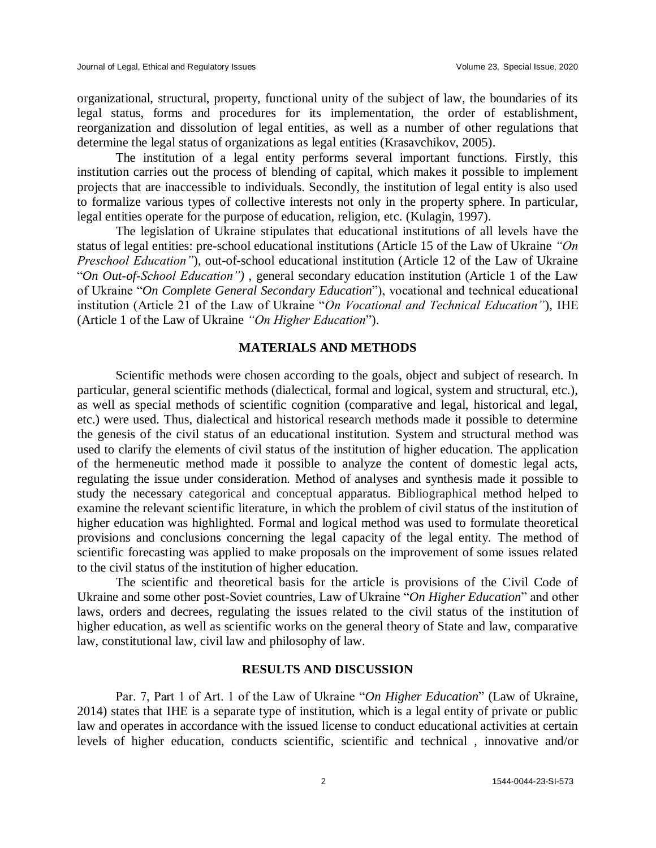organizational, structural, property, functional unity of the subject of law, the boundaries of its legal status, forms and procedures for its implementation, the order of establishment, reorganization and dissolution of legal entities, as well as a number of other regulations that determine the legal status of organizations as legal entities (Krasavchikov, 2005).

The institution of a legal entity performs several important functions. Firstly, this institution carries out the process of blending of capital, which makes it possible to implement projects that are inaccessible to individuals. Secondly, the institution of legal entity is also used to formalize various types of collective interests not only in the property sphere. In particular, legal entities operate for the purpose of education, religion, etc. (Kulagin, 1997).

The legislation of Ukraine stipulates that educational institutions of all levels have the status of legal entities: pre-school educational institutions (Article 15 of the Law of Ukraine *"On Preschool Education"*), out-of-school educational institution (Article 12 of the Law of Ukraine "*On Out-of-School Education")* , general secondary education institution (Article 1 of the Law of Ukraine "*On Complete General Secondary Education*"), vocational and technical educational institution (Article 21 of the Law of Ukraine "*On Vocational and Technical Education"*)*,* IHE (Article 1 of the Law of Ukraine *"On Higher Education*").

#### **MATERIALS AND METHODS**

Scientific methods were chosen according to the goals, object and subject of research. In particular, general scientific methods (dialectical, formal and logical, system and structural, etc.), as well as special methods of scientific cognition (comparative and legal, historical and legal, etc.) were used. Thus, dialectical and historical research methods made it possible to determine the genesis of the civil status of an educational institution. System and structural method was used to clarify the elements of civil status of the institution of higher education. The application of the hermeneutic method made it possible to analyze the content of domestic legal acts, regulating the issue under consideration. Method of analyses and synthesis made it possible to study the necessary categorical and conceptual apparatus. Bibliographical method helped to examine the relevant scientific literature, in which the problem of civil status of the institution of higher education was highlighted. Formal and logical method was used to formulate theoretical provisions and conclusions concerning the legal capacity of the legal entity. The method of scientific forecasting was applied to make proposals on the improvement of some issues related to the civil status of the institution of higher education.

The scientific and theoretical basis for the article is provisions of the Civil Code of Ukraine and some other post-Soviet countries, Law of Ukraine "*On Higher Education*" and other laws, orders and decrees, regulating the issues related to the civil status of the institution of higher education, as well as scientific works on the general theory of State and law, comparative law, constitutional law, civil law and philosophy of law.

# **RESULTS AND DISCUSSION**

Par. 7, Part 1 of Art. 1 of the Law of Ukraine "*On Higher Education*" (Law of Ukraine, 2014) states that IHE is a separate type of institution, which is a legal entity of private or public law and operates in accordance with the issued license to conduct educational activities at certain levels of higher education, conducts scientific, scientific and technical , innovative and/or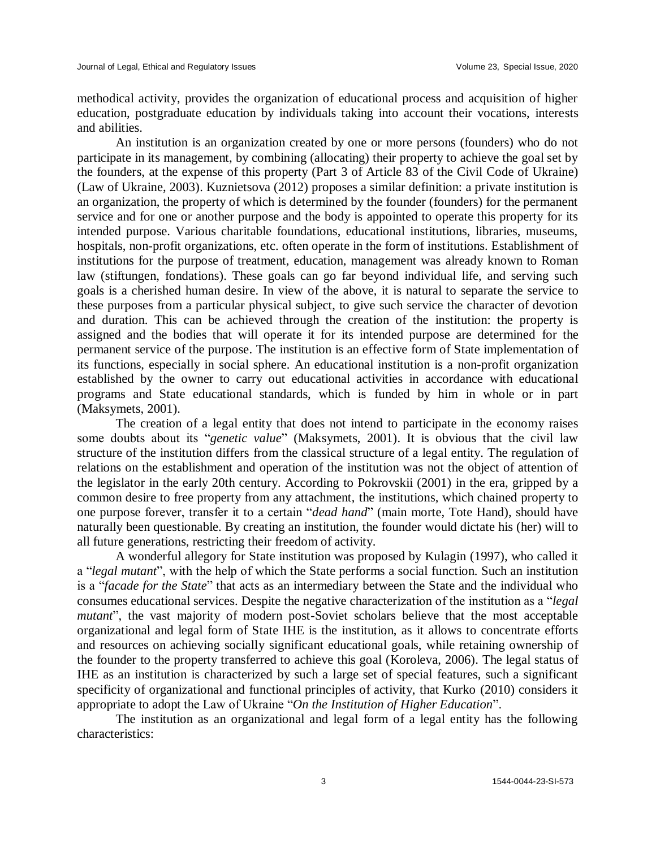methodical activity, provides the organization of educational process and acquisition of higher education, postgraduate education by individuals taking into account their vocations, interests and abilities.

An institution is an organization created by one or more persons (founders) who do not participate in its management, by combining (allocating) their property to achieve the goal set by the founders, at the expense of this property (Part 3 of Article 83 of the Civil Code of Ukraine) (Law of Ukraine, 2003). Kuznietsova (2012) proposes a similar definition: a private institution is an organization, the property of which is determined by the founder (founders) for the permanent service and for one or another purpose and the body is appointed to operate this property for its intended purpose. Various charitable foundations, educational institutions, libraries, museums, hospitals, non-profit organizations, etc. often operate in the form of institutions. Establishment of institutions for the purpose of treatment, education, management was already known to Roman law (stiftungen, fondations). These goals can go far beyond individual life, and serving such goals is a cherished human desire. In view of the above, it is natural to separate the service to these purposes from a particular physical subject, to give such service the character of devotion and duration. This can be achieved through the creation of the institution: the property is assigned and the bodies that will operate it for its intended purpose are determined for the permanent service of the purpose. The institution is an effective form of State implementation of its functions, especially in social sphere. An educational institution is a non-profit organization established by the owner to carry out educational activities in accordance with educational programs and State educational standards, which is funded by him in whole or in part (Maksymets, 2001).

The creation of a legal entity that does not intend to participate in the economy raises some doubts about its "*genetic value*" (Maksymets, 2001). It is obvious that the civil law structure of the institution differs from the classical structure of a legal entity. The regulation of relations on the establishment and operation of the institution was not the object of attention of the legislator in the early 20th century. According to Pokrovskii (2001) in the era, gripped by a common desire to free property from any attachment, the institutions, which chained property to one purpose forever, transfer it to a certain "*dead hand*" (main morte, Tote Hand), should have naturally been questionable. By creating an institution, the founder would dictate his (her) will to all future generations, restricting their freedom of activity.

A wonderful allegory for State institution was proposed by Kulagin (1997), who called it a "*legal mutant*", with the help of which the State performs a social function. Such an institution is a "*facade for the State*" that acts as an intermediary between the State and the individual who consumes educational services. Despite the negative characterization of the institution as a "*legal mutant*", the vast majority of modern post-Soviet scholars believe that the most acceptable organizational and legal form of State IHE is the institution, as it allows to concentrate efforts and resources on achieving socially significant educational goals, while retaining ownership of the founder to the property transferred to achieve this goal (Koroleva, 2006). The legal status of IHE as an institution is characterized by such a large set of special features, such a significant specificity of organizational and functional principles of activity, that Kurko (2010) considers it appropriate to adopt the Law of Ukraine "*On the Institution of Higher Education*".

The institution as an organizational and legal form of a legal entity has the following characteristics: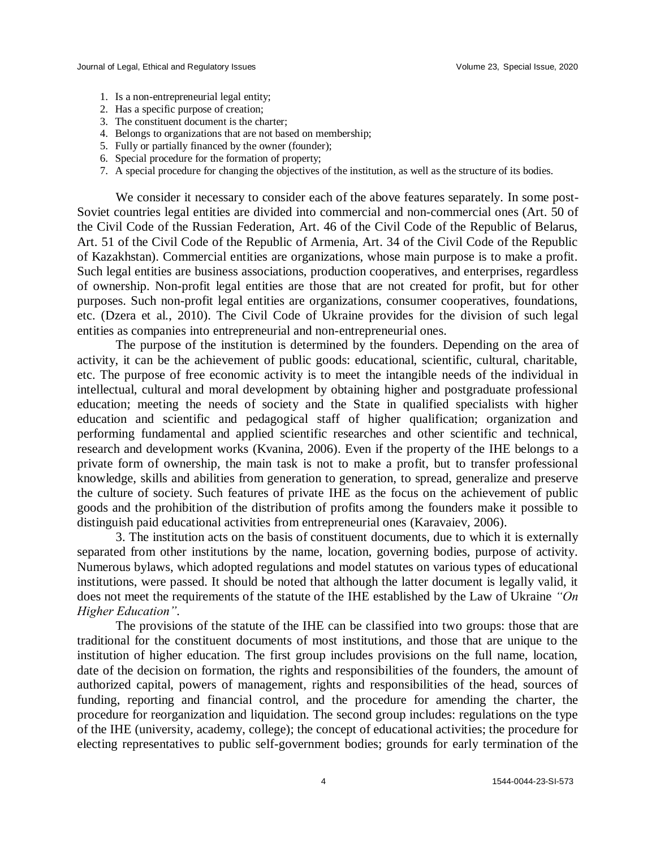- 1. Is a non-entrepreneurial legal entity;
- 2. Has a specific purpose of creation;
- 3. The constituent document is the charter;
- 4. Belongs to organizations that are not based on membership;
- 5. Fully or partially financed by the owner (founder);
- 6. Special procedure for the formation of property;
- 7. A special procedure for changing the objectives of the institution, as well as the structure of its bodies.

We consider it necessary to consider each of the above features separately. In some post-Soviet countries legal entities are divided into commercial and non-commercial ones (Art. 50 of the Civil Code of the Russian Federation, Art. 46 of the Civil Code of the Republic of Belarus, Art. 51 of the Civil Code of the Republic of Armenia, Art. 34 of the Civil Code of the Republic of Kazakhstan). Commercial entities are organizations, whose main purpose is to make a profit. Such legal entities are business associations, production cooperatives, and enterprises, regardless of ownership. Non-profit legal entities are those that are not created for profit, but for other purposes. Such non-profit legal entities are organizations, consumer cooperatives, foundations, etc. (Dzera et al., 2010). The Civil Code of Ukraine provides for the division of such legal entities as companies into entrepreneurial and non-entrepreneurial ones.

The purpose of the institution is determined by the founders. Depending on the area of activity, it can be the achievement of public goods: educational, scientific, cultural, charitable, etc. The purpose of free economic activity is to meet the intangible needs of the individual in intellectual, cultural and moral development by obtaining higher and postgraduate professional education; meeting the needs of society and the State in qualified specialists with higher education and scientific and pedagogical staff of higher qualification; organization and performing fundamental and applied scientific researches and other scientific and technical, research and development works (Kvanina, 2006). Even if the property of the IHE belongs to a private form of ownership, the main task is not to make a profit, but to transfer professional knowledge, skills and abilities from generation to generation, to spread, generalize and preserve the culture of society. Such features of private IHE as the focus on the achievement of public goods and the prohibition of the distribution of profits among the founders make it possible to distinguish paid educational activities from entrepreneurial ones (Karavaiev, 2006).

3. The institution acts on the basis of constituent documents, due to which it is externally separated from other institutions by the name, location, governing bodies, purpose of activity. Numerous bylaws, which adopted regulations and model statutes on various types of educational institutions, were passed. It should be noted that although the latter document is legally valid, it does not meet the requirements of the statute of the IHE established by the Law of Ukraine *"On Higher Education".*

The provisions of the statute of the IHE can be classified into two groups: those that are traditional for the constituent documents of most institutions, and those that are unique to the institution of higher education. The first group includes provisions on the full name, location, date of the decision on formation, the rights and responsibilities of the founders, the amount of authorized capital, powers of management, rights and responsibilities of the head, sources of funding, reporting and financial control, and the procedure for amending the charter, the procedure for reorganization and liquidation. The second group includes: regulations on the type of the IHE (university, academy, college); the concept of educational activities; the procedure for electing representatives to public self-government bodies; grounds for early termination of the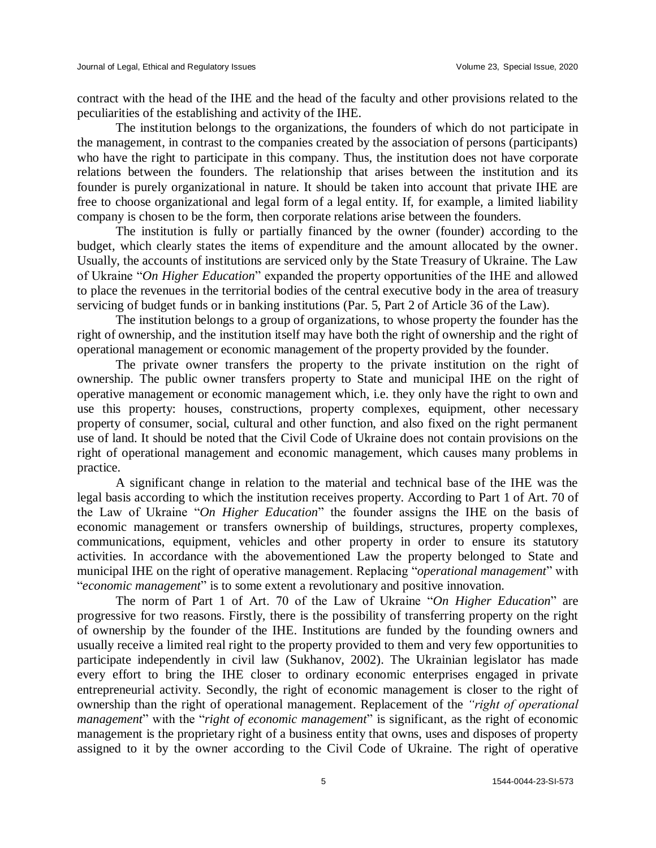contract with the head of the IHE and the head of the faculty and other provisions related to the peculiarities of the establishing and activity of the IHE.

The institution belongs to the organizations, the founders of which do not participate in the management, in contrast to the companies created by the association of persons (participants) who have the right to participate in this company. Thus, the institution does not have corporate relations between the founders. The relationship that arises between the institution and its founder is purely organizational in nature. It should be taken into account that private IHE are free to choose organizational and legal form of a legal entity. If, for example, a limited liability company is chosen to be the form, then corporate relations arise between the founders.

The institution is fully or partially financed by the owner (founder) according to the budget, which clearly states the items of expenditure and the amount allocated by the owner. Usually, the accounts of institutions are serviced only by the State Treasury of Ukraine. The Law of Ukraine "*On Higher Education*" expanded the property opportunities of the IHE and allowed to place the revenues in the territorial bodies of the central executive body in the area of treasury servicing of budget funds or in banking institutions (Par. 5, Part 2 of Article 36 of the Law).

The institution belongs to a group of organizations, to whose property the founder has the right of ownership, and the institution itself may have both the right of ownership and the right of operational management or economic management of the property provided by the founder.

The private owner transfers the property to the private institution on the right of ownership. The public owner transfers property to State and municipal IHE on the right of operative management or economic management which, i.e. they only have the right to own and use this property: houses, constructions, property complexes, equipment, other necessary property of consumer, social, cultural and other function, and also fixed on the right permanent use of land. It should be noted that the Civil Code of Ukraine does not contain provisions on the right of operational management and economic management, which causes many problems in practice.

A significant change in relation to the material and technical base of the IHE was the legal basis according to which the institution receives property. According to Part 1 of Art. 70 of the Law of Ukraine "*On Higher Education*" the founder assigns the IHE on the basis of economic management or transfers ownership of buildings, structures, property complexes, communications, equipment, vehicles and other property in order to ensure its statutory activities. In accordance with the abovementioned Law the property belonged to State and municipal IHE on the right of operative management. Replacing "*operational management*" with "*economic management*" is to some extent a revolutionary and positive innovation.

The norm of Part 1 of Art. 70 of the Law of Ukraine "*On Higher Education*" are progressive for two reasons. Firstly, there is the possibility of transferring property on the right of ownership by the founder of the IHE. Institutions are funded by the founding owners and usually receive a limited real right to the property provided to them and very few opportunities to participate independently in civil law (Sukhanov, 2002). The Ukrainian legislator has made every effort to bring the IHE closer to ordinary economic enterprises engaged in private entrepreneurial activity. Secondly, the right of economic management is closer to the right of ownership than the right of operational management. Replacement of the *"right of operational management*" with the "*right of economic management*" is significant, as the right of economic management is the proprietary right of a business entity that owns, uses and disposes of property assigned to it by the owner according to the Civil Code of Ukraine. The right of operative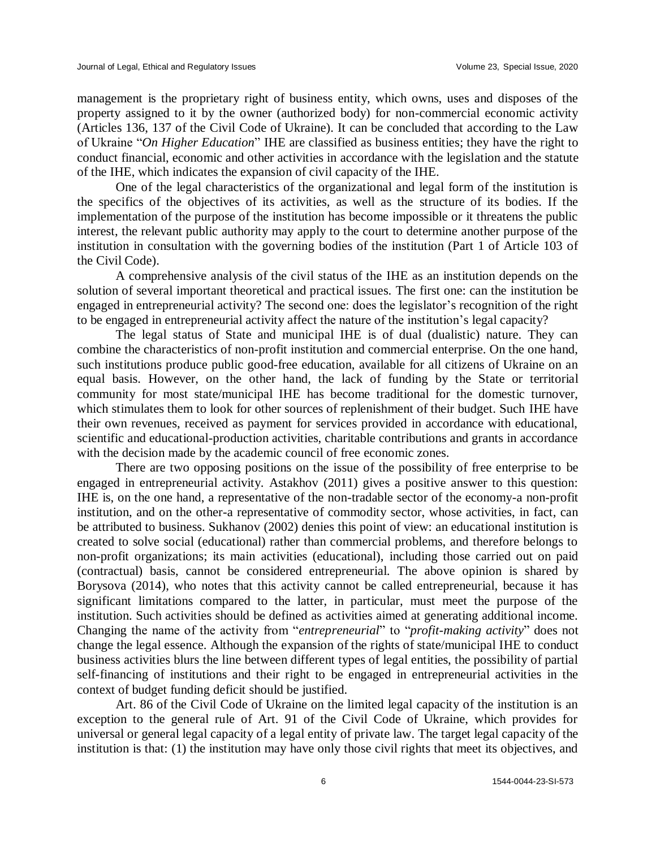management is the proprietary right of business entity, which owns, uses and disposes of the property assigned to it by the owner (authorized body) for non-commercial economic activity (Articles 136, 137 of the Civil Code of Ukraine). It can be concluded that according to the Law of Ukraine "*On Higher Education*" IHE are classified as business entities; they have the right to conduct financial, economic and other activities in accordance with the legislation and the statute of the IHE, which indicates the expansion of civil capacity of the IHE.

One of the legal characteristics of the organizational and legal form of the institution is the specifics of the objectives of its activities, as well as the structure of its bodies. If the implementation of the purpose of the institution has become impossible or it threatens the public interest, the relevant public authority may apply to the court to determine another purpose of the institution in consultation with the governing bodies of the institution (Part 1 of Article 103 of the Civil Code).

A comprehensive analysis of the civil status of the IHE as an institution depends on the solution of several important theoretical and practical issues. The first one: can the institution be engaged in entrepreneurial activity? The second one: does the legislator's recognition of the right to be engaged in entrepreneurial activity affect the nature of the institution's legal capacity?

The legal status of State and municipal IHE is of dual (dualistic) nature. They can combine the characteristics of non-profit institution and commercial enterprise. On the one hand, such institutions produce public good-free education, available for all citizens of Ukraine on an equal basis. However, on the other hand, the lack of funding by the State or territorial community for most state/municipal IHE has become traditional for the domestic turnover, which stimulates them to look for other sources of replenishment of their budget. Such IHE have their own revenues, received as payment for services provided in accordance with educational, scientific and educational-production activities, charitable contributions and grants in accordance with the decision made by the academic council of free economic zones.

There are two opposing positions on the issue of the possibility of free enterprise to be engaged in entrepreneurial activity. Astakhov (2011) gives a positive answer to this question: IHE is, on the one hand, a representative of the non-tradable sector of the economy-a non-profit institution, and on the other-a representative of commodity sector, whose activities, in fact, can be attributed to business. Sukhanov (2002) denies this point of view: an educational institution is created to solve social (educational) rather than commercial problems, and therefore belongs to non-profit organizations; its main activities (educational), including those carried out on paid (contractual) basis, cannot be considered entrepreneurial. The above opinion is shared by Borysova (2014), who notes that this activity cannot be called entrepreneurial, because it has significant limitations compared to the latter, in particular, must meet the purpose of the institution. Such activities should be defined as activities aimed at generating additional income. Changing the name of the activity from "*entrepreneurial*" to "*profit-making activity*" does not change the legal essence. Although the expansion of the rights of state/municipal IHE to conduct business activities blurs the line between different types of legal entities, the possibility of partial self-financing of institutions and their right to be engaged in entrepreneurial activities in the context of budget funding deficit should be justified.

Art. 86 of the Civil Code of Ukraine on the limited legal capacity of the institution is an exception to the general rule of Art. 91 of the Civil Code of Ukraine, which provides for universal or general legal capacity of a legal entity of private law. The target legal capacity of the institution is that: (1) the institution may have only those civil rights that meet its objectives, and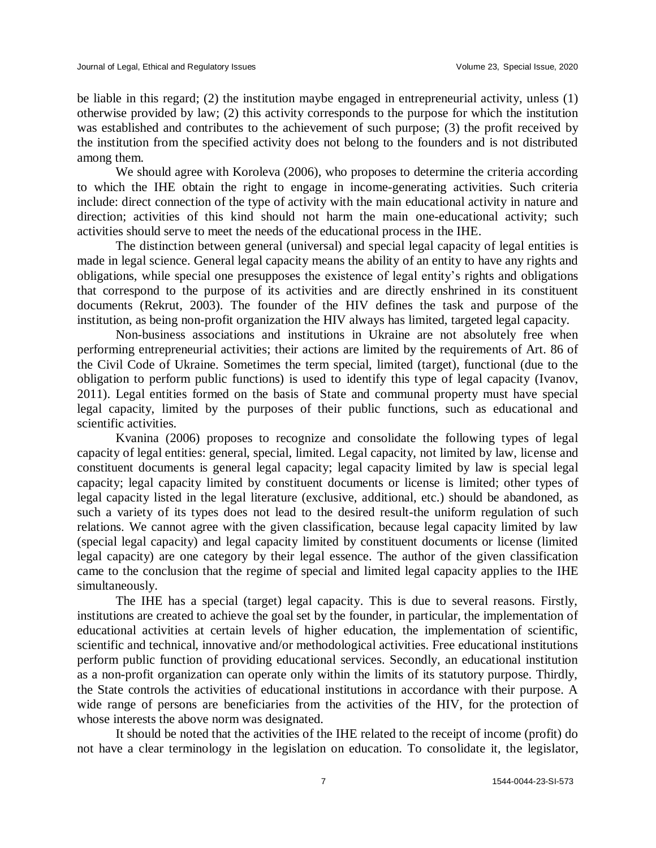be liable in this regard; (2) the institution maybe engaged in entrepreneurial activity, unless (1) otherwise provided by law; (2) this activity corresponds to the purpose for which the institution was established and contributes to the achievement of such purpose; (3) the profit received by the institution from the specified activity does not belong to the founders and is not distributed among them.

We should agree with Koroleva (2006), who proposes to determine the criteria according to which the IHE obtain the right to engage in income-generating activities. Such criteria include: direct connection of the type of activity with the main educational activity in nature and direction; activities of this kind should not harm the main one-educational activity; such activities should serve to meet the needs of the educational process in the IHE.

The distinction between general (universal) and special legal capacity of legal entities is made in legal science. General legal capacity means the ability of an entity to have any rights and obligations, while special one presupposes the existence of legal entity's rights and obligations that correspond to the purpose of its activities and are directly enshrined in its constituent documents (Rekrut, 2003). The founder of the HIV defines the task and purpose of the institution, as being non-profit organization the HIV always has limited, targeted legal capacity.

Non-business associations and institutions in Ukraine are not absolutely free when performing entrepreneurial activities; their actions are limited by the requirements of Art. 86 of the Civil Code of Ukraine. Sometimes the term special, limited (target), functional (due to the obligation to perform public functions) is used to identify this type of legal capacity (Ivanov, 2011). Legal entities formed on the basis of State and communal property must have special legal capacity, limited by the purposes of their public functions, such as educational and scientific activities.

Kvanina (2006) proposes to recognize and consolidate the following types of legal capacity of legal entities: general, special, limited. Legal capacity, not limited by law, license and constituent documents is general legal capacity; legal capacity limited by law is special legal capacity; legal capacity limited by constituent documents or license is limited; other types of legal capacity listed in the legal literature (exclusive, additional, etc.) should be abandoned, as such a variety of its types does not lead to the desired result-the uniform regulation of such relations. We cannot agree with the given classification, because legal capacity limited by law (special legal capacity) and legal capacity limited by constituent documents or license (limited legal capacity) are one category by their legal essence. The author of the given classification came to the conclusion that the regime of special and limited legal capacity applies to the IHE simultaneously.

The IHE has a special (target) legal capacity. This is due to several reasons. Firstly, institutions are created to achieve the goal set by the founder, in particular, the implementation of educational activities at certain levels of higher education, the implementation of scientific, scientific and technical, innovative and/or methodological activities. Free educational institutions perform public function of providing educational services. Secondly, an educational institution as a non-profit organization can operate only within the limits of its statutory purpose. Thirdly, the State controls the activities of educational institutions in accordance with their purpose. A wide range of persons are beneficiaries from the activities of the HIV, for the protection of whose interests the above norm was designated.

It should be noted that the activities of the IHE related to the receipt of income (profit) do not have a clear terminology in the legislation on education. To consolidate it, the legislator,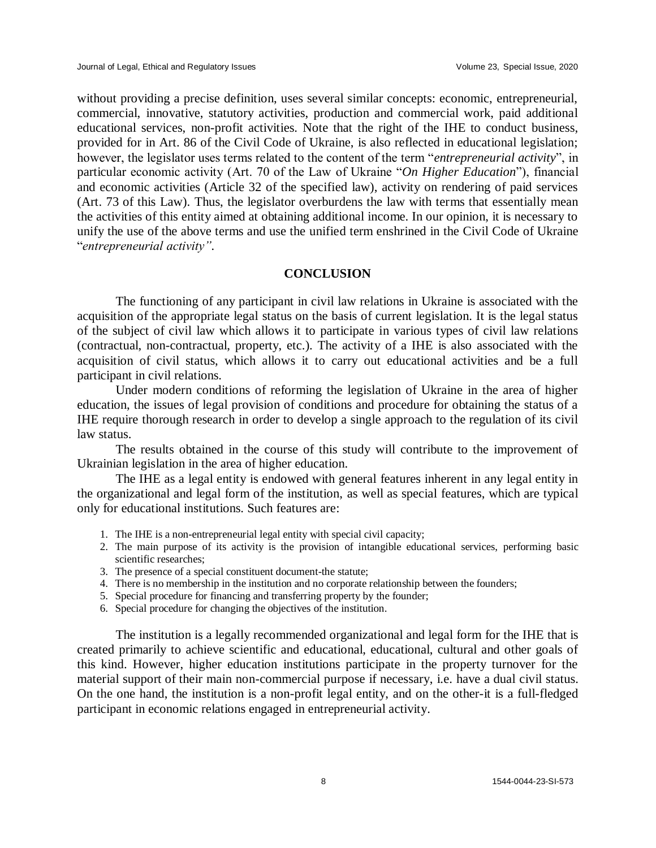without providing a precise definition, uses several similar concepts: economic, entrepreneurial, commercial, innovative, statutory activities, production and commercial work, paid additional educational services, non-profit activities. Note that the right of the IHE to conduct business, provided for in Art. 86 of the Civil Code of Ukraine, is also reflected in educational legislation; however, the legislator uses terms related to the content of the term "*entrepreneurial activity*", in particular economic activity (Art. 70 of the Law of Ukraine "*On Higher Education*"), financial and economic activities (Article 32 of the specified law), activity on rendering of paid services (Art. 73 of this Law). Thus, the legislator overburdens the law with terms that essentially mean the activities of this entity aimed at obtaining additional income. In our opinion, it is necessary to unify the use of the above terms and use the unified term enshrined in the Civil Code of Ukraine "*entrepreneurial activity".*

### **CONCLUSION**

The functioning of any participant in civil law relations in Ukraine is associated with the acquisition of the appropriate legal status on the basis of current legislation. It is the legal status of the subject of civil law which allows it to participate in various types of civil law relations (contractual, non-contractual, property, etc.). The activity of a IHE is also associated with the acquisition of civil status, which allows it to carry out educational activities and be a full participant in civil relations.

Under modern conditions of reforming the legislation of Ukraine in the area of higher education, the issues of legal provision of conditions and procedure for obtaining the status of a IHE require thorough research in order to develop a single approach to the regulation of its civil law status.

The results obtained in the course of this study will contribute to the improvement of Ukrainian legislation in the area of higher education.

The IHE as a legal entity is endowed with general features inherent in any legal entity in the organizational and legal form of the institution, as well as special features, which are typical only for educational institutions. Such features are:

- 1. The IHE is a non-entrepreneurial legal entity with special civil capacity;
- 2. The main purpose of its activity is the provision of intangible educational services, performing basic scientific researches;
- 3. The presence of a special constituent document-the statute;
- 4. There is no membership in the institution and no corporate relationship between the founders;
- 5. Special procedure for financing and transferring property by the founder;
- 6. Special procedure for changing the objectives of the institution.

The institution is a legally recommended organizational and legal form for the IHE that is created primarily to achieve scientific and educational, educational, cultural and other goals of this kind. However, higher education institutions participate in the property turnover for the material support of their main non-commercial purpose if necessary, i.e. have a dual civil status. On the one hand, the institution is a non-profit legal entity, and on the other-it is a full-fledged participant in economic relations engaged in entrepreneurial activity.